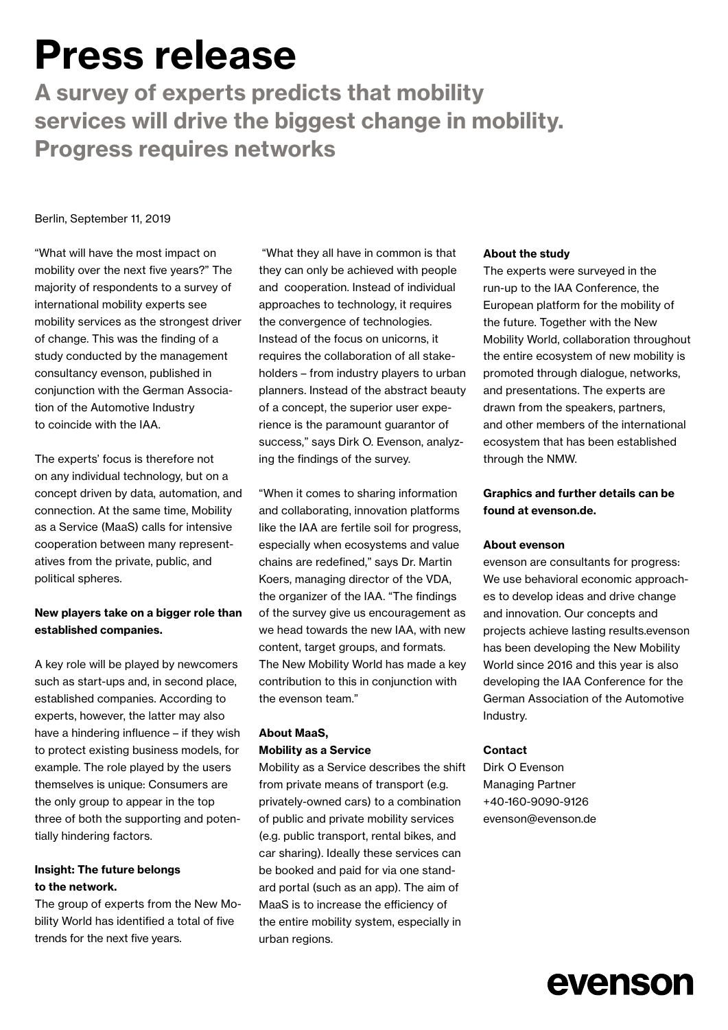# Press release

A survey of experts predicts that mobility services will drive the biggest change in mobility. Progress requires networks

#### Berlin, September 11, 2019

"What will have the most impact on mobility over the next five years?" The majority of respondents to a survey of international mobility experts see mobility services as the strongest driver of change. This was the finding of a study conducted by the management consultancy evenson, published in conjunction with the German Association of the Automotive Industry to coincide with the IAA.

The experts' focus is therefore not on any individual technology, but on a concept driven by data, automation, and connection. At the same time, Mobility as a Service (MaaS) calls for intensive cooperation between many representatives from the private, public, and political spheres.

# New players take on a bigger role than established companies.

A key role will be played by newcomers such as start-ups and, in second place, established companies. According to experts, however, the latter may also have a hindering influence – if they wish to protect existing business models, for example. The role played by the users themselves is unique: Consumers are the only group to appear in the top three of both the supporting and potentially hindering factors.

### Insight: The future belongs to the network.

The group of experts from the New Mobility World has identified a total of five trends for the next five years.

 "What they all have in common is that they can only be achieved with people and cooperation. Instead of individual approaches to technology, it requires the convergence of technologies. Instead of the focus on unicorns, it requires the collaboration of all stakeholders – from industry players to urban planners. Instead of the abstract beauty of a concept, the superior user experience is the paramount guarantor of success," says Dirk O. Evenson, analyzing the findings of the survey.

"When it comes to sharing information and collaborating, innovation platforms like the IAA are fertile soil for progress, especially when ecosystems and value chains are redefined," says Dr. Martin Koers, managing director of the VDA, the organizer of the IAA. "The findings of the survey give us encouragement as we head towards the new IAA, with new content, target groups, and formats. The New Mobility World has made a key contribution to this in conjunction with the evenson team."

# About MaaS, Mobility as a Service

Mobility as a Service describes the shift from private means of transport (e.g. privately-owned cars) to a combination of public and private mobility services (e.g. public transport, rental bikes, and car sharing). Ideally these services can be booked and paid for via one standard portal (such as an app). The aim of MaaS is to increase the efficiency of the entire mobility system, especially in urban regions.

#### About the study

The experts were surveyed in the run-up to the IAA Conference, the European platform for the mobility of the future. Together with the New Mobility World, collaboration throughout the entire ecosystem of new mobility is promoted through dialogue, networks, and presentations. The experts are drawn from the speakers, partners, and other members of the international ecosystem that has been established through the NMW.

# Graphics and further details can be found at evenson.de.

#### About evenson

evenson are consultants for progress: We use behavioral economic approaches to develop ideas and drive change and innovation. Our concepts and projects achieve lasting results.evenson has been developing the New Mobility World since 2016 and this year is also developing the IAA Conference for the German Association of the Automotive Industry.

#### Contact

Dirk O Evenson Managing Partner +40-160-9090-9126 evenson@evenson.de